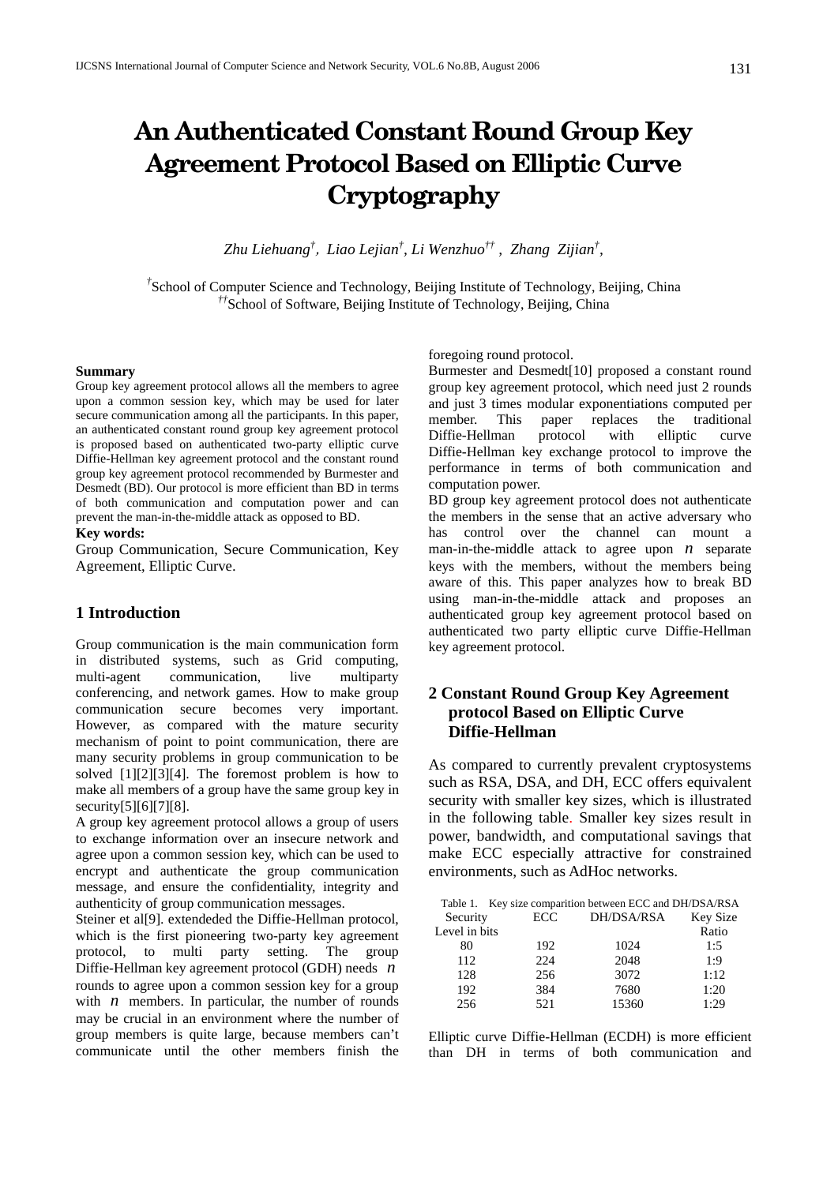# **An Authenticated Constant Round Group Key Agreement Protocol Based on Elliptic Curve Cryptography**

*Zhu Liehuang†* , *Liao Lejian† , Li Wenzhuo†† , Zhang Zijian† ,* 

<sup>†</sup><br>School of Computer Science and Technology, Beijing Institute of Technology, Beijing, China <sup>††</sup>School of Software, Beijing Institute of Technology, Beijing, China

#### **Summary**

Group key agreement protocol allows all the members to agree upon a common session key, which may be used for later secure communication among all the participants. In this paper, an authenticated constant round group key agreement protocol is proposed based on authenticated two-party elliptic curve Diffie-Hellman key agreement protocol and the constant round group key agreement protocol recommended by Burmester and Desmedt (BD). Our protocol is more efficient than BD in terms of both communication and computation power and can prevent the man-in-the-middle attack as opposed to BD.

#### **Key words:**

Group Communication, Secure Communication, Key Agreement, Elliptic Curve.

## **1 Introduction**

Group communication is the main communication form in distributed systems, such as Grid computing, multi-agent communication, live multiparty conferencing, and network games. How to make group communication secure becomes very important. However, as compared with the mature security mechanism of point to point communication, there are many security problems in group communication to be solved [1][2][3][4]. The foremost problem is how to make all members of a group have the same group key in security[5][6][7][8].

A group key agreement protocol allows a group of users to exchange information over an insecure network and agree upon a common session key, which can be used to encrypt and authenticate the group communication message, and ensure the confidentiality, integrity and authenticity of group communication messages.

Steiner et al<sup>[9]</sup>. extendeded the Diffie-Hellman protocol, which is the first pioneering two-party key agreement protocol, to multi party setting. The group Diffie-Hellman key agreement protocol (GDH) needs *n* rounds to agree upon a common session key for a group with  $n$  members. In particular, the number of rounds may be crucial in an environment where the number of group members is quite large, because members can't communicate until the other members finish the foregoing round protocol.

Burmester and Desmedt[10] proposed a constant round group key agreement protocol, which need just 2 rounds and just 3 times modular exponentiations computed per member. This paper replaces the traditional Diffie-Hellman protocol with elliptic curve Diffie-Hellman key exchange protocol to improve the performance in terms of both communication and computation power.

BD group key agreement protocol does not authenticate the members in the sense that an active adversary who has control over the channel can mount a man-in-the-middle attack to agree upon *n* separate keys with the members, without the members being aware of this. This paper analyzes how to break BD using man-in-the-middle attack and proposes an authenticated group key agreement protocol based on authenticated two party elliptic curve Diffie-Hellman key agreement protocol.

# **2 Constant Round Group Key Agreement protocol Based on Elliptic Curve Diffie-Hellman**

As compared to currently prevalent cryptosystems such as RSA, DSA, and DH, ECC offers equivalent security with smaller key sizes, which is illustrated in the following table. Smaller key sizes result in power, bandwidth, and computational savings that make ECC especially attractive for constrained environments, such as AdHoc networks.

|               | Table 1. Key size comparition between ECC and DH/DSA/RSA |            |                 |
|---------------|----------------------------------------------------------|------------|-----------------|
| Security      | <b>ECC</b>                                               | DH/DSA/RSA | <b>Key Size</b> |
| Level in bits |                                                          |            | Ratio           |
| 80            | 192                                                      | 1024       | 1:5             |
| 112           | 224                                                      | 2048       | 1:9             |
| 128           | 256                                                      | 3072       | 1:12            |
| 192           | 384                                                      | 7680       | 1:20            |
| 256           | 521                                                      | 15360      | 1.29            |

Elliptic curve Diffie-Hellman (ECDH) is more efficient than DH in terms of both communication and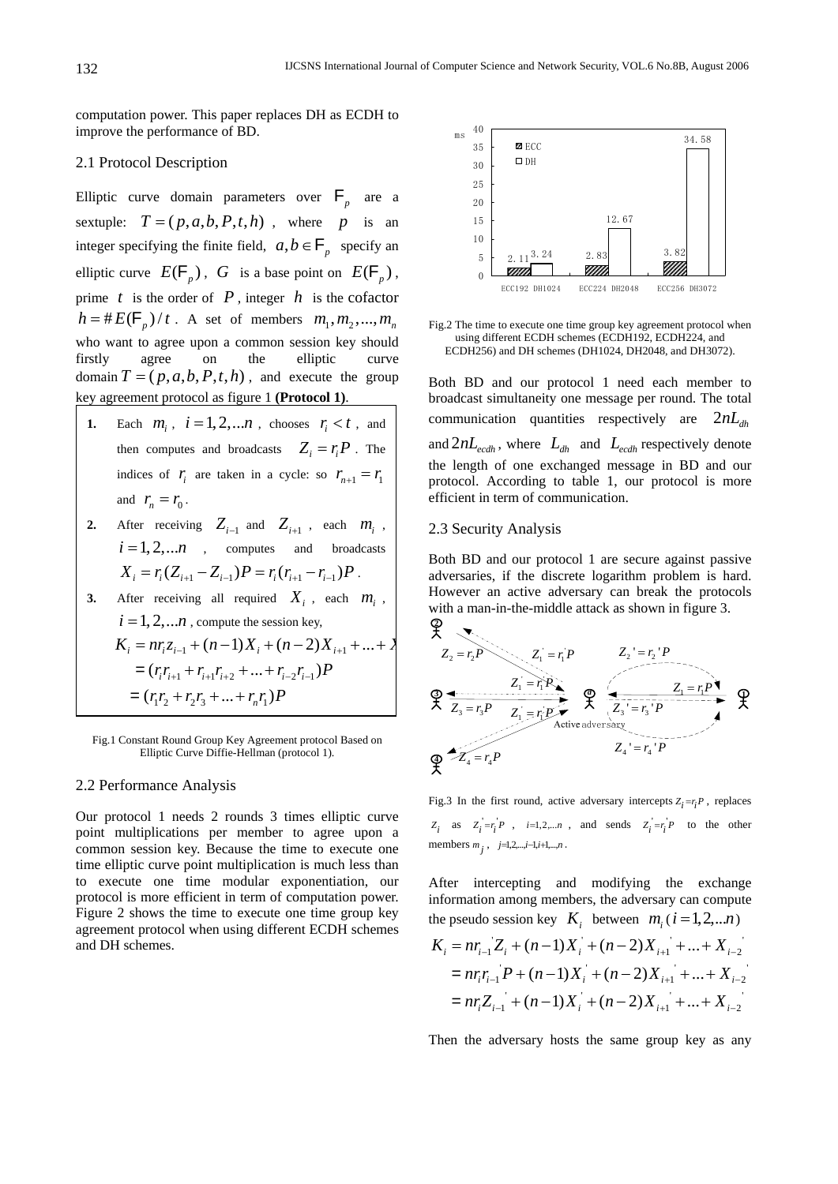computation power. This paper replaces DH as ECDH to improve the performance of BD.

## 2.1 Protocol Description

Elliptic curve domain parameters over  $F_p$  are a sextuple:  $T = (p, a, b, P, t, h)$ , where p is an integer specifying the finite field,  $a, b \in \mathsf{F}_p$  specify an elliptic curve  $E(F_p)$ , *G* is a base point on  $E(F_p)$ , prime  $t$  is the order of  $P$ , integer  $h$  is the cofactor  $h = #E(F_p)/t$ . A set of members  $m_1, m_2, ..., m_n$ who want to agree upon a common session key should firstly agree on the elliptic curve domain  $T = (p, a, b, P, t, h)$ , and execute the group key agreement protocol as figure 1 **(Protocol 1)**.

- **1.** Each  $m_i$ ,  $i = 1, 2, \ldots n$ , chooses  $r_i < t$ , and then computes and broadcasts  $Z_i = r_i P$ . The indices of  $r_i$  are taken in a cycle: so  $r_{n+1} = r_1$ and  $r_n = r_0$ .
- **2.** After receiving  $Z_{i-1}$  and  $Z_{i+1}$ , each  $m_i$ ,  $i = 1, 2, \ldots n$  , computes and broadcasts  $X_i = r_i (Z_{i+1} - Z_{i-1}) P = r_i (r_{i+1} - r_{i-1}) P$ . **3.** After receiving all required  $X_i$ , each  $m_i$ ,
- $i = 1, 2, \ldots n$ , compute the session key,  $K_i = nr_i z_{i-1} + (n-1)X_i + (n-2)X_{i+1} + ... + X$  $=(r_i r_{i+1} + r_{i+1} r_{i+2} + \dots + r_{i-2} r_{i-1}) P$  $r_1r_2 + r_2r_3 + ... + r_nr_1)P$

Fig.1 Constant Round Group Key Agreement protocol Based on Elliptic Curve Diffie-Hellman (protocol 1).

#### 2.2 Performance Analysis

Our protocol 1 needs 2 rounds 3 times elliptic curve point multiplications per member to agree upon a common session key. Because the time to execute one time elliptic curve point multiplication is much less than to execute one time modular exponentiation, our protocol is more efficient in term of computation power. Figure 2 shows the time to execute one time group key agreement protocol when using different ECDH schemes and DH schemes.



Fig.2 The time to execute one time group key agreement protocol when using different ECDH schemes (ECDH192, ECDH224, and ECDH256) and DH schemes (DH1024, DH2048, and DH3072).

Both BD and our protocol 1 need each member to broadcast simultaneity one message per round. The total communication quantities respectively are  $2nL<sub>ab</sub>$ and  $2nL_{\text{edh}}$ , where  $L_{\text{dh}}$  and  $L_{\text{ecdh}}$  respectively denote the length of one exchanged message in BD and our protocol. According to table 1, our protocol is more efficient in term of communication.

#### 2.3 Security Analysis

Both BD and our protocol 1 are secure against passive adversaries, if the discrete logarithm problem is hard. However an active adversary can break the protocols with a man-in-the-middle attack as shown in figure 3.



Fig.3 In the first round, active adversary intercepts  $Z_i = r_i P$ , replaces  $Z_i$  as  $Z_i = r_i^2 P$ ,  $i=1,2,...n$ , and sends  $Z_i = r_i^2 P$  to the other members  $m_j$ ,  $j=1,2,...,i-1,i+1,...,n$ .

After intercepting and modifying the exchange information among members, the adversary can compute the pseudo session key  $K_i$  between  $m_i$  ( $i = 1, 2, ... n$ )  $K_i = nr_{i-1}Z_i + (n-1)X_i + (n-2)X_{i+1} + ... + X_{i-2}$  $=n r_i r_{i-1} P + (n-1) X_i + (n-2) X_{i+1} + ... + X_{i-2}$  $= nr_i Z_{i-1} + (n-1)X_i + (n-2)X_{i+1} + ... + X_{i-2}$ 

Then the adversary hosts the same group key as any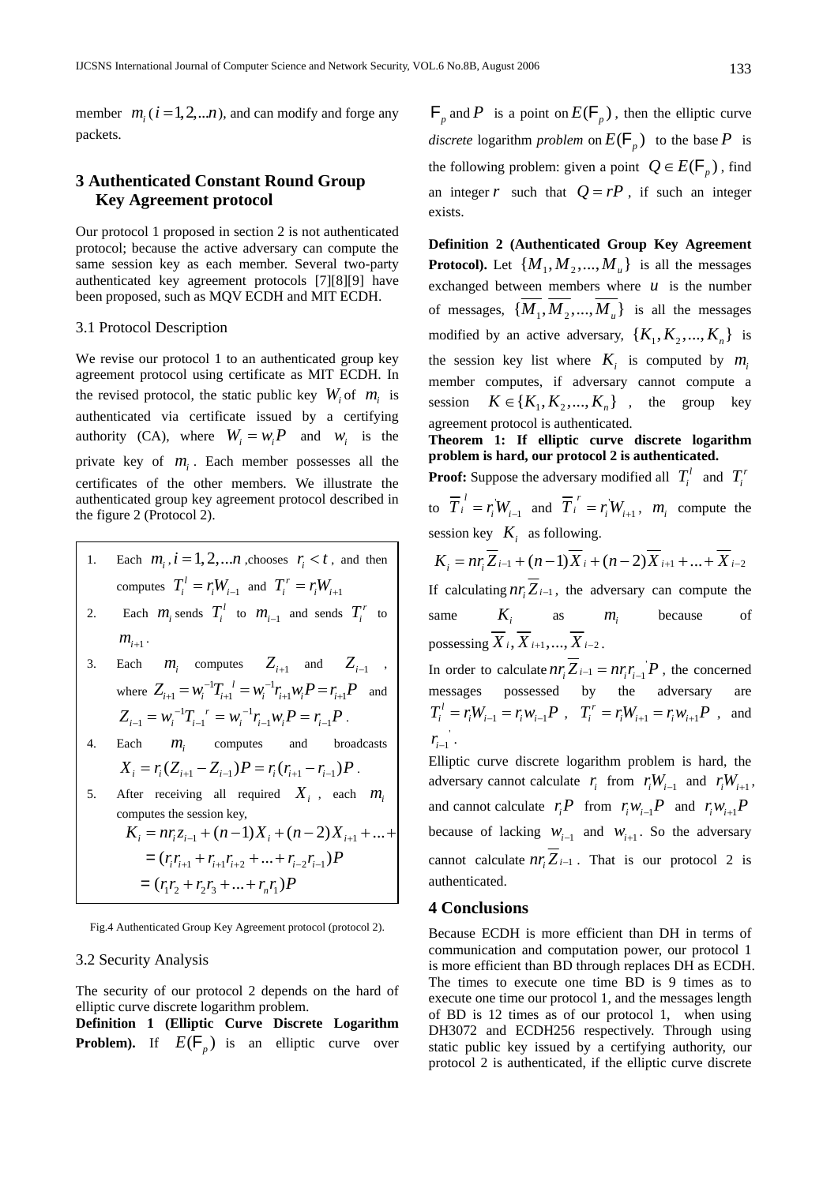member  $m_i$  ( $i = 1, 2, ...n$ ), and can modify and forge any packets.

## **3 Authenticated Constant Round Group Key Agreement protocol**

Our protocol 1 proposed in section 2 is not authenticated protocol; because the active adversary can compute the same session key as each member. Several two-party authenticated key agreement protocols [7][8][9] have been proposed, such as MQV ECDH and MIT ECDH.

#### 3.1 Protocol Description

We revise our protocol 1 to an authenticated group key agreement protocol using certificate as MIT ECDH. In the revised protocol, the static public key  $W_i$  of  $m_i$  is authenticated via certificate issued by a certifying authority (CA), where  $W_i = w_i P$  and  $w_i$  is the private key of  $m<sub>i</sub>$ . Each member possesses all the certificates of the other members. We illustrate the authenticated group key agreement protocol described in the figure 2 (Protocol 2).

- 1. Each  $m_i$ ,  $i = 1, 2, \dots n$ , chooses  $r_i < t$ , and then computes  $T_i^l = r_i W_{i-1}$  and  $T_i^r = r_i W_{i+1}$
- 2. Each  $m_i$  sends  $T_i^l$  to  $m_{i-1}$  and sends  $T_i^r$  to  $m_{i+1}$ .
- 3. Each  $m_i$  computes  $Z_{i+1}$  and  $Z_{i-1}$ , where  $Z_{i+1} = w_i^{-1} T_{i+1}^{-1} = w_i^{-1} r_{i+1} w_i P = r_{i+1} P$  and  $1_T$   $r = ...^{-1}$  $Z_{i-1} = w_i^{-1} T_{i-1}^{\ r} = w_i^{-1} r_{i-1} w_i P = r_{i-1} P$ .
- 4. Each *mi* computes and broadcasts  $X_i = r_i (Z_{i+1} - Z_{i-1}) P = r_i (r_{i+1} - r_{i-1}) P$ .
- 5. After receiving all required  $X_i$ , each  $m_i$ computes the session key,  $K_i = nr_i z_{i-1} + (n-1)X_i + (n-2)X_{i+1} + ...$  $=(r_i r_{i+1} + r_{i+1} r_{i+2} + \dots + r_{i-2} r_{i-1}) P$  $r_1r_2 + r_2r_3 + ... + r_nr_1)P$

Fig.4 Authenticated Group Key Agreement protocol (protocol 2).

## 3.2 Security Analysis

The security of our protocol 2 depends on the hard of elliptic curve discrete logarithm problem.

**Definition 1 (Elliptic Curve Discrete Logarithm Problem).** If  $E(F_n)$  is an elliptic curve over

 $\mathsf{F}_p$  and P is a point on  $E(\mathsf{F}_p)$ , then the elliptic curve *discrete* logarithm *problem* on  $E(\mathsf{F}_p)$  to the base *P* is the following problem: given a point  $Q \in E(\mathsf{F}_p)$ , find an integer *r* such that  $Q = rP$ , if such an integer exists.

**Definition 2 (Authenticated Group Key Agreement Protocol).** Let  $\{M_1, M_2, ..., M_u\}$  is all the messages exchanged between members where  $u$  is the number of messages,  $\{\overline{M}_1, \overline{M}_2, ..., \overline{M}_n\}$  is all the messages modified by an active adversary,  $\{K_1, K_2, ..., K_n\}$  is the session key list where  $K_i$  is computed by  $m_i$ member computes, if adversary cannot compute a session  $K \in \{K_1, K_2, ..., K_n\}$ , the group key agreement protocol is authenticated.

**Theorem 1: If elliptic curve discrete logarithm problem is hard, our protocol 2 is authenticated.** 

**Proof:** Suppose the adversary modified all  $T_i^l$  and  $T_i^r$ to  $T_i^{\prime} = r_i^{\prime} W_{i-1}$  $\overline{T}_i^l = r_i^{\dagger} W_{i-1}$  and  $\overline{T}_i^r = r_i^{\dagger} W_{i+1}$  $\overline{T}$ <sup>*r*</sup></sup> = *r*<sub>i</sub><sup>*i*</sup> *W*<sub>*i*+1</sub>, *m*<sub>*i*</sub> compute the session key  $K_i$  as following.

$$
K_{i} = nr_{i}\overline{Z}_{i-1} + (n-1)\overline{X}_{i} + (n-2)\overline{X}_{i+1} + ... + \overline{X}_{i-2}
$$

If calculating  $nr_i Z_{i-1}$ , the adversary can compute the same  $K_i$  as  $m_i$  because of possessing  $\overline{X}_i$ ,  $\overline{X}_{i+1}$ ,  $\overline{X}_{i-2}$ .

In order to calculate  $nr_i Z_{i-1} = nr_i r_{i-1} P$ , the concerned messages possessed by the adversary are  $T_i^l = r_i W_{i-1} = r_i W_{i-1} P$ ,  $T_i^r = r_i W_{i+1} = r_i W_{i+1} P$ , and  $r_{i-1}$  .

Elliptic curve discrete logarithm problem is hard, the adversary cannot calculate  $r_i$  from  $r_i W_{i-1}$  and  $r_i W_{i+1}$ , and cannot calculate  $r_i P$  from  $r_i w_{i-1} P$  and  $r_i w_{i+1} P$ because of lacking  $W_{i-1}$  and  $W_{i+1}$ . So the adversary cannot calculate  $n r_i \overline{Z}_{i-1}$ . That is our protocol 2 is authenticated.

#### **4 Conclusions**

Because ECDH is more efficient than DH in terms of communication and computation power, our protocol 1 is more efficient than BD through replaces DH as ECDH. The times to execute one time BD is 9 times as to execute one time our protocol 1, and the messages length of BD is 12 times as of our protocol 1, when using DH3072 and ECDH256 respectively. Through using static public key issued by a certifying authority, our protocol 2 is authenticated, if the elliptic curve discrete